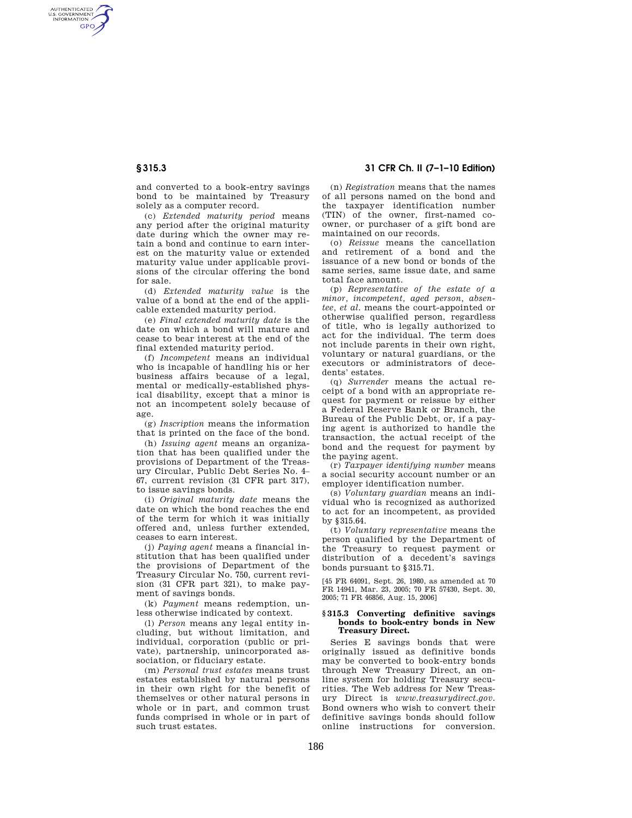AUTHENTICATED<br>U.S. GOVERNMENT<br>INFORMATION **GPO** 

> and converted to a book-entry savings bond to be maintained by Treasury solely as a computer record.

> (c) *Extended maturity period* means any period after the original maturity date during which the owner may retain a bond and continue to earn interest on the maturity value or extended maturity value under applicable provisions of the circular offering the bond for sale.

> (d) *Extended maturity value* is the value of a bond at the end of the applicable extended maturity period.

> (e) *Final extended maturity date* is the date on which a bond will mature and cease to bear interest at the end of the final extended maturity period.

> (f) *Incompetent* means an individual who is incapable of handling his or her business affairs because of a legal, mental or medically-established physical disability, except that a minor is not an incompetent solely because of age.

(g) *Inscription* means the information that is printed on the face of the bond.

(h) *Issuing agent* means an organization that has been qualified under the provisions of Department of the Treasury Circular, Public Debt Series No. 4– 67, current revision (31 CFR part 317), to issue savings bonds.

(i) *Original maturity date* means the date on which the bond reaches the end of the term for which it was initially offered and, unless further extended, ceases to earn interest.

(j) *Paying agent* means a financial institution that has been qualified under the provisions of Department of the Treasury Circular No. 750, current revision (31 CFR part 321), to make payment of savings bonds.

(k) *Payment* means redemption, unless otherwise indicated by context.

(l) *Person* means any legal entity including, but without limitation, and individual, corporation (public or private), partnership, unincorporated association, or fiduciary estate.

(m) *Personal trust estates* means trust estates established by natural persons in their own right for the benefit of themselves or other natural persons in whole or in part, and common trust funds comprised in whole or in part of such trust estates.

# **§ 315.3 31 CFR Ch. II (7–1–10 Edition)**

(n) *Registration* means that the names of all persons named on the bond and the taxpayer identification number (TIN) of the owner, first-named coowner, or purchaser of a gift bond are maintained on our records.

(o) *Reissue* means the cancellation and retirement of a bond and the issuance of a new bond or bonds of the same series, same issue date, and same total face amount.

(p) *Representative of the estate of a minor, incompetent, aged person, absentee, et al.* means the court-appointed or otherwise qualified person, regardless of title, who is legally authorized to act for the individual. The term does not include parents in their own right, voluntary or natural guardians, or the executors or administrators of decedents' estates.

(q) *Surrender* means the actual receipt of a bond with an appropriate request for payment or reissue by either a Federal Reserve Bank or Branch, the Bureau of the Public Debt, or, if a paying agent is authorized to handle the transaction, the actual receipt of the bond and the request for payment by the paying agent.

(r) *Taxpayer identifying number* means a social security account number or an employer identification number.

(s) *Voluntary guardian* means an individual who is recognized as authorized to act for an incompetent, as provided by §315.64.

(t) *Voluntary representative* means the person qualified by the Department of the Treasury to request payment or distribution of a decedent's savings bonds pursuant to §315.71.

[45 FR 64091, Sept. 26, 1980, as amended at 70 FR 14941, Mar. 23, 2005; 70 FR 57430, Sept. 30, 2005; 71 FR 46856, Aug. 15, 2006]

### **§ 315.3 Converting definitive savings bonds to book-entry bonds in New Treasury Direct.**

Series E savings bonds that were originally issued as definitive bonds may be converted to book-entry bonds through New Treasury Direct, an online system for holding Treasury securities. The Web address for New Treasury Direct is *www.treasurydirect.gov.*  Bond owners who wish to convert their definitive savings bonds should follow online instructions for conversion.